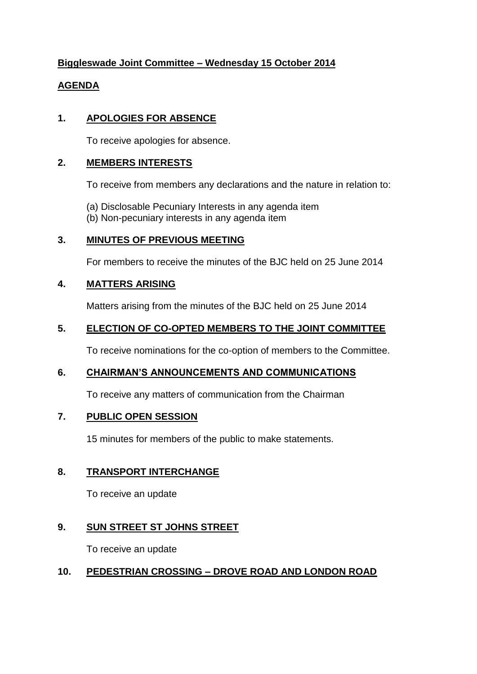# **Biggleswade Joint Committee – Wednesday 15 October 2014**

#### **AGENDA**

# **1. APOLOGIES FOR ABSENCE**

To receive apologies for absence.

#### **2. MEMBERS INTERESTS**

To receive from members any declarations and the nature in relation to:

- (a) Disclosable Pecuniary Interests in any agenda item
- (b) Non-pecuniary interests in any agenda item

# **3. MINUTES OF PREVIOUS MEETING**

For members to receive the minutes of the BJC held on 25 June 2014

# **4. MATTERS ARISING**

Matters arising from the minutes of the BJC held on 25 June 2014

#### **5. ELECTION OF CO-OPTED MEMBERS TO THE JOINT COMMITTEE**

To receive nominations for the co-option of members to the Committee.

# **6. CHAIRMAN'S ANNOUNCEMENTS AND COMMUNICATIONS**

To receive any matters of communication from the Chairman

# **7. PUBLIC OPEN SESSION**

15 minutes for members of the public to make statements.

# **8. TRANSPORT INTERCHANGE**

To receive an update

# **9. SUN STREET ST JOHNS STREET**

To receive an update

# **10. PEDESTRIAN CROSSING – DROVE ROAD AND LONDON ROAD**